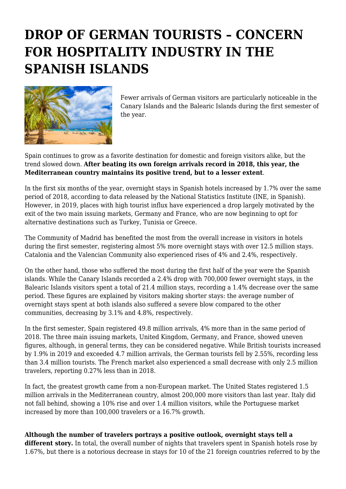## **DROP OF GERMAN TOURISTS – CONCERN FOR HOSPITALITY INDUSTRY IN THE SPANISH ISLANDS**



Fewer arrivals of German visitors are particularly noticeable in the Canary Islands and the Balearic Islands during the first semester of the year.

Spain continues to grow as a favorite destination for domestic and foreign visitors alike, but the trend slowed down. **After beating its own foreign arrivals record in 2018, this year, the Mediterranean country maintains its positive trend, but to a lesser extent**.

In the first six months of the year, overnight stays in Spanish hotels increased by 1.7% over the same period of 2018, according to data released by the National Statistics Institute (INE, in Spanish). However, in 2019, places with high tourist influx have experienced a drop largely motivated by the exit of the two main issuing markets, Germany and France, who are now beginning to opt for alternative destinations such as Turkey, Tunisia or Greece.

The Community of Madrid has benefited the most from the overall increase in visitors in hotels during the first semester, registering almost 5% more overnight stays with over 12.5 million stays. Catalonia and the Valencian Community also experienced rises of 4% and 2.4%, respectively.

On the other hand, those who suffered the most during the first half of the year were the Spanish islands. While the Canary Islands recorded a 2.4% drop with 700,000 fewer overnight stays, in the Balearic Islands visitors spent a total of 21.4 million stays, recording a 1.4% decrease over the same period. These figures are explained by visitors making shorter stays: the average number of overnight stays spent at both islands also suffered a severe blow compared to the other communities, decreasing by 3.1% and 4.8%, respectively.

In the first semester, Spain registered 49.8 million arrivals, 4% more than in the same period of 2018. The three main issuing markets, United Kingdom, Germany, and France, showed uneven figures, although, in general terms, they can be considered negative. While British tourists increased by 1.9% in 2019 and exceeded 4.7 million arrivals, the German tourists fell by 2.55%, recording less than 3.4 million tourists. The French market also experienced a small decrease with only 2.5 million travelers, reporting 0.27% less than in 2018.

In fact, the greatest growth came from a non-European market. The United States registered 1.5 million arrivals in the Mediterranean country, almost 200,000 more visitors than last year. Italy did not fall behind, showing a 10% rise and over 1.4 million visitors, while the Portuguese market increased by more than 100,000 travelers or a 16.7% growth.

**Although the number of travelers portrays a positive outlook, overnight stays tell a**

**different story.** In total, the overall number of nights that travelers spent in Spanish hotels rose by 1.67%, but there is a notorious decrease in stays for 10 of the 21 foreign countries referred to by the